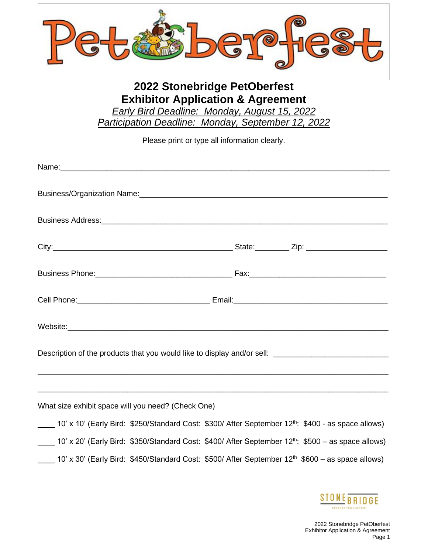

## **2022 Stonebridge PetOberfest Exhibitor Application & Agreement**

*Early Bird Deadline: Monday, August 15, 2022 Participation Deadline: Monday, September 12, 2022*

Please print or type all information clearly.

| Description of the products that you would like to display and/or sell: ___________________________                        |  |  |
|----------------------------------------------------------------------------------------------------------------------------|--|--|
|                                                                                                                            |  |  |
| What size exhibit space will you need? (Check One)                                                                         |  |  |
| 10' x 10' (Early Bird: \$250/Standard Cost: \$300/ After September 12 <sup>th</sup> : \$400 - as space allows)             |  |  |
| 10' x 20' (Early Bird: \$350/Standard Cost: \$400/ After September 12 <sup>th</sup> : \$500 - as space allows)             |  |  |
| $\frac{1}{2}$ 10' x 30' (Early Bird: \$450/Standard Cost: \$500/ After September 12 <sup>th</sup> \$600 – as space allows) |  |  |

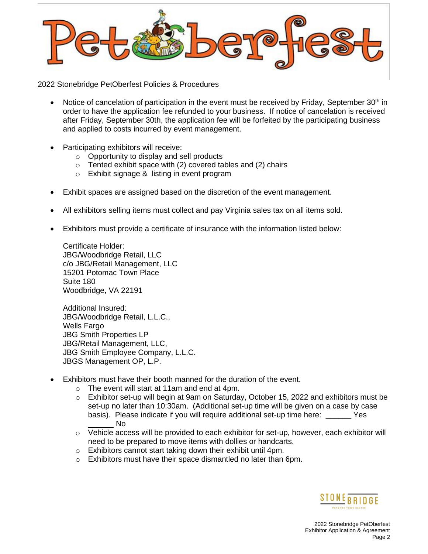

2022 Stonebridge PetOberfest Policies & Procedures

- Notice of cancelation of participation in the event must be received by Friday, September 30<sup>th</sup> in order to have the application fee refunded to your business. If notice of cancelation is received after Friday, September 30th, the application fee will be forfeited by the participating business and applied to costs incurred by event management.
- Participating exhibitors will receive:
	- o Opportunity to display and sell products
	- $\circ$  Tented exhibit space with (2) covered tables and (2) chairs
	- o Exhibit signage & listing in event program
- Exhibit spaces are assigned based on the discretion of the event management.
- All exhibitors selling items must collect and pay Virginia sales tax on all items sold.
- Exhibitors must provide a certificate of insurance with the information listed below:

Certificate Holder: JBG/Woodbridge Retail, LLC c/o JBG/Retail Management, LLC 15201 Potomac Town Place Suite 180 Woodbridge, VA 22191

Additional Insured: JBG/Woodbridge Retail, L.L.C., Wells Fargo JBG Smith Properties LP JBG/Retail Management, LLC, JBG Smith Employee Company, L.L.C. JBGS Management OP, L.P.

- Exhibitors must have their booth manned for the duration of the event.
	- o The event will start at 11am and end at 4pm.
	- $\circ$  Exhibitor set-up will begin at 9am on Saturday, October 15, 2022 and exhibitors must be set-up no later than 10:30am. (Additional set-up time will be given on a case by case basis). Please indicate if you will require additional set-up time here: \_\_\_\_\_\_ Yes \_\_\_\_\_\_ No
	- $\circ$  Vehicle access will be provided to each exhibitor for set-up, however, each exhibitor will need to be prepared to move items with dollies or handcarts.
	- o Exhibitors cannot start taking down their exhibit until 4pm.
	- o Exhibitors must have their space dismantled no later than 6pm.

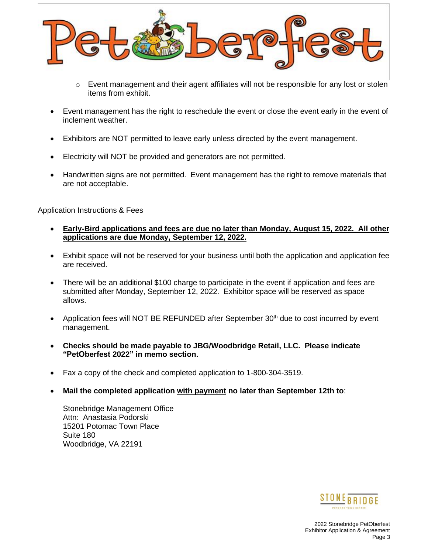

- $\circ$  Event management and their agent affiliates will not be responsible for any lost or stolen items from exhibit.
- Event management has the right to reschedule the event or close the event early in the event of inclement weather.
- Exhibitors are NOT permitted to leave early unless directed by the event management.
- Electricity will NOT be provided and generators are not permitted.
- Handwritten signs are not permitted. Event management has the right to remove materials that are not acceptable.

## Application Instructions & Fees

- **Early-Bird applications and fees are due no later than Monday, August 15, 2022. All other applications are due Monday, September 12, 2022.**
- Exhibit space will not be reserved for your business until both the application and application fee are received.
- There will be an additional \$100 charge to participate in the event if application and fees are submitted after Monday, September 12, 2022. Exhibitor space will be reserved as space allows.
- Application fees will NOT BE REFUNDED after September  $30<sup>th</sup>$  due to cost incurred by event management.
- **Checks should be made payable to JBG/Woodbridge Retail, LLC. Please indicate "PetOberfest 2022" in memo section.**
- Fax a copy of the check and completed application to 1-800-304-3519.
- **Mail the completed application with payment no later than September 12th to**:

Stonebridge Management Office Attn: Anastasia Podorski 15201 Potomac Town Place Suite 180 Woodbridge, VA 22191